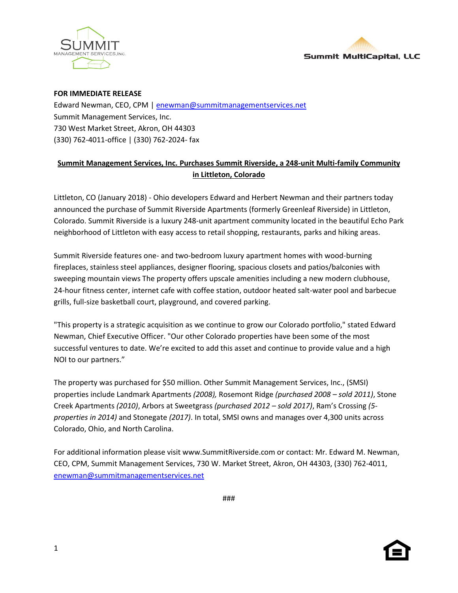



## **FOR IMMEDIATE RELEASE**

Edward Newman, CEO, CPM [| enewman@summitmanagementservices.net](mailto:enewman@summitmanagementservices.net) Summit Management Services, Inc. 730 West Market Street, Akron, OH 44303 (330) 762-4011-office | (330) 762-2024- fax

## **Summit Management Services, Inc. Purchases Summit Riverside, a 248-unit Multi-family Community in Littleton, Colorado**

Littleton, CO (January 2018) - Ohio developers Edward and Herbert Newman and their partners today announced the purchase of Summit Riverside Apartments (formerly Greenleaf Riverside) in Littleton, Colorado. Summit Riverside is a luxury 248-unit apartment community located in the beautiful Echo Park neighborhood of Littleton with easy access to retail shopping, restaurants, parks and hiking areas.

Summit Riverside features one- and two-bedroom luxury apartment homes with wood-burning fireplaces, stainless steel appliances, designer flooring, spacious closets and patios/balconies with sweeping mountain views The property offers upscale amenities including a new modern clubhouse, 24-hour fitness center, internet cafe with coffee station, outdoor heated salt-water pool and barbecue grills, full-size basketball court, playground, and covered parking.

"This property is a strategic acquisition as we continue to grow our Colorado portfolio," stated Edward Newman, Chief Executive Officer. "Our other Colorado properties have been some of the most successful ventures to date. We're excited to add this asset and continue to provide value and a high NOI to our partners."

The property was purchased for \$50 million. Other Summit Management Services, Inc., (SMSI) properties include Landmark Apartments *(2008),* Rosemont Ridge *(purchased 2008 – sold 2011)*, Stone Creek Apartments *(2010)*, Arbors at Sweetgrass *(purchased 2012 – sold 2017)*, Ram's Crossing *(5 properties in 2014)* and Stonegate *(2017)*. In total, SMSI owns and manages over 4,300 units across Colorado, Ohio, and North Carolina.

For additional information please visit www.SummitRiverside.com or contact: Mr. Edward M. Newman, CEO, CPM, Summit Management Services, 730 W. Market Street, Akron, OH 44303, (330) 762-4011, [enewman@summitmanagementservices.net](mailto:enewman@summitmanagementservices.net)

###